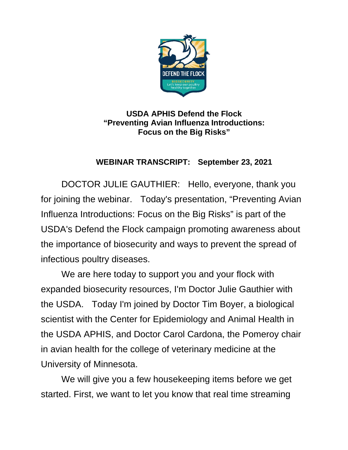

## **USDA APHIS Defend the Flock "Preventing Avian Influenza Introductions: Focus on the Big Risks"**

## **WEBINAR TRANSCRIPT: September 23, 2021**

DOCTOR JULIE GAUTHIER: Hello, everyone, thank you for joining the webinar. Today's presentation, "Preventing Avian Influenza Introductions: Focus on the Big Risks" is part of the USDA's Defend the Flock campaign promoting awareness about the importance of biosecurity and ways to prevent the spread of infectious poultry diseases.

We are here today to support you and your flock with expanded biosecurity resources, I'm Doctor Julie Gauthier with the USDA. Today I'm joined by Doctor Tim Boyer, a biological scientist with the Center for Epidemiology and Animal Health in the USDA APHIS, and Doctor Carol Cardona, the Pomeroy chair in avian health for the college of veterinary medicine at the University of Minnesota.

We will give you a few housekeeping items before we get started. First, we want to let you know that real time streaming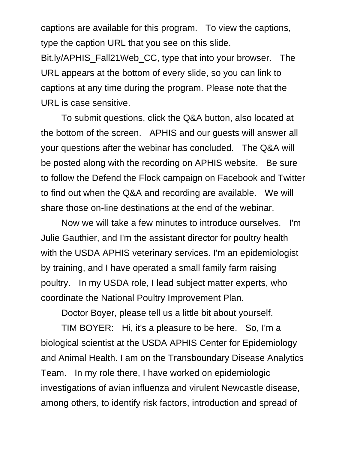captions are available for this program. To view the captions, type the caption URL that you see on this slide.

Bit.ly/APHIS\_Fall21Web\_CC, type that into your browser. The URL appears at the bottom of every slide, so you can link to captions at any time during the program. Please note that the URL is case sensitive.

To submit questions, click the Q&A button, also located at the bottom of the screen. APHIS and our guests will answer all your questions after the webinar has concluded. The Q&A will be posted along with the recording on APHIS website. Be sure to follow the Defend the Flock campaign on Facebook and Twitter to find out when the Q&A and recording are available. We will share those on-line destinations at the end of the webinar.

Now we will take a few minutes to introduce ourselves. I'm Julie Gauthier, and I'm the assistant director for poultry health with the USDA APHIS veterinary services. I'm an epidemiologist by training, and I have operated a small family farm raising poultry. In my USDA role, I lead subject matter experts, who coordinate the National Poultry Improvement Plan.

Doctor Boyer, please tell us a little bit about yourself.

TIM BOYER: Hi, it's a pleasure to be here. So, I'm a biological scientist at the USDA APHIS Center for Epidemiology and Animal Health. I am on the Transboundary Disease Analytics Team. In my role there, I have worked on epidemiologic investigations of avian influenza and virulent Newcastle disease, among others, to identify risk factors, introduction and spread of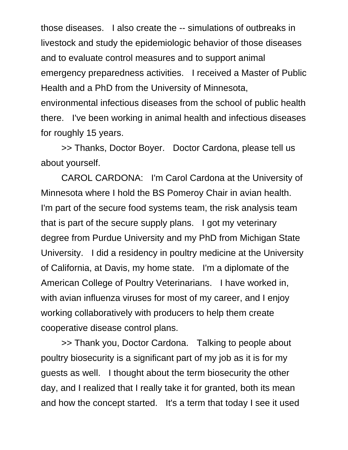those diseases. I also create the -- simulations of outbreaks in livestock and study the epidemiologic behavior of those diseases and to evaluate control measures and to support animal emergency preparedness activities. I received a Master of Public Health and a PhD from the University of Minnesota,

environmental infectious diseases from the school of public health there. I've been working in animal health and infectious diseases for roughly 15 years.

>> Thanks, Doctor Boyer. Doctor Cardona, please tell us about yourself.

CAROL CARDONA: I'm Carol Cardona at the University of Minnesota where I hold the BS Pomeroy Chair in avian health. I'm part of the secure food systems team, the risk analysis team that is part of the secure supply plans. I got my veterinary degree from Purdue University and my PhD from Michigan State University. I did a residency in poultry medicine at the University of California, at Davis, my home state. I'm a diplomate of the American College of Poultry Veterinarians. I have worked in, with avian influenza viruses for most of my career, and I enjoy working collaboratively with producers to help them create cooperative disease control plans.

>> Thank you, Doctor Cardona. Talking to people about poultry biosecurity is a significant part of my job as it is for my guests as well. I thought about the term biosecurity the other day, and I realized that I really take it for granted, both its mean and how the concept started. It's a term that today I see it used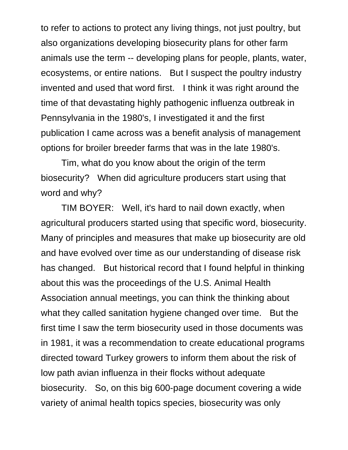to refer to actions to protect any living things, not just poultry, but also organizations developing biosecurity plans for other farm animals use the term -- developing plans for people, plants, water, ecosystems, or entire nations. But I suspect the poultry industry invented and used that word first. I think it was right around the time of that devastating highly pathogenic influenza outbreak in Pennsylvania in the 1980's, I investigated it and the first publication I came across was a benefit analysis of management options for broiler breeder farms that was in the late 1980's.

Tim, what do you know about the origin of the term biosecurity? When did agriculture producers start using that word and why?

TIM BOYER: Well, it's hard to nail down exactly, when agricultural producers started using that specific word, biosecurity. Many of principles and measures that make up biosecurity are old and have evolved over time as our understanding of disease risk has changed. But historical record that I found helpful in thinking about this was the proceedings of the U.S. Animal Health Association annual meetings, you can think the thinking about what they called sanitation hygiene changed over time. But the first time I saw the term biosecurity used in those documents was in 1981, it was a recommendation to create educational programs directed toward Turkey growers to inform them about the risk of low path avian influenza in their flocks without adequate biosecurity. So, on this big 600-page document covering a wide variety of animal health topics species, biosecurity was only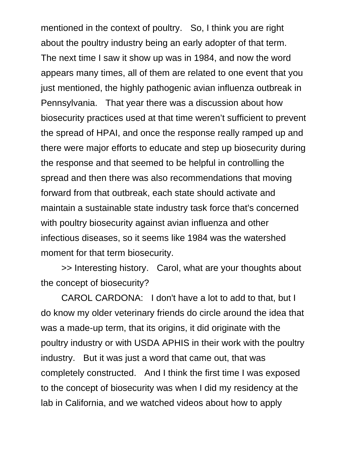mentioned in the context of poultry. So, I think you are right about the poultry industry being an early adopter of that term. The next time I saw it show up was in 1984, and now the word appears many times, all of them are related to one event that you just mentioned, the highly pathogenic avian influenza outbreak in Pennsylvania. That year there was a discussion about how biosecurity practices used at that time weren't sufficient to prevent the spread of HPAI, and once the response really ramped up and there were major efforts to educate and step up biosecurity during the response and that seemed to be helpful in controlling the spread and then there was also recommendations that moving forward from that outbreak, each state should activate and maintain a sustainable state industry task force that's concerned with poultry biosecurity against avian influenza and other infectious diseases, so it seems like 1984 was the watershed moment for that term biosecurity.

>> Interesting history. Carol, what are your thoughts about the concept of biosecurity?

CAROL CARDONA: I don't have a lot to add to that, but I do know my older veterinary friends do circle around the idea that was a made-up term, that its origins, it did originate with the poultry industry or with USDA APHIS in their work with the poultry industry. But it was just a word that came out, that was completely constructed. And I think the first time I was exposed to the concept of biosecurity was when I did my residency at the lab in California, and we watched videos about how to apply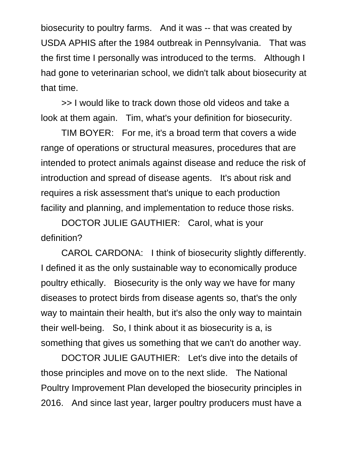biosecurity to poultry farms. And it was -- that was created by USDA APHIS after the 1984 outbreak in Pennsylvania. That was the first time I personally was introduced to the terms. Although I had gone to veterinarian school, we didn't talk about biosecurity at that time.

>> I would like to track down those old videos and take a look at them again. Tim, what's your definition for biosecurity.

TIM BOYER: For me, it's a broad term that covers a wide range of operations or structural measures, procedures that are intended to protect animals against disease and reduce the risk of introduction and spread of disease agents. It's about risk and requires a risk assessment that's unique to each production facility and planning, and implementation to reduce those risks.

DOCTOR JULIE GAUTHIER: Carol, what is your definition?

CAROL CARDONA: I think of biosecurity slightly differently. I defined it as the only sustainable way to economically produce poultry ethically. Biosecurity is the only way we have for many diseases to protect birds from disease agents so, that's the only way to maintain their health, but it's also the only way to maintain their well-being. So, I think about it as biosecurity is a, is something that gives us something that we can't do another way.

DOCTOR JULIE GAUTHIER: Let's dive into the details of those principles and move on to the next slide. The National Poultry Improvement Plan developed the biosecurity principles in 2016. And since last year, larger poultry producers must have a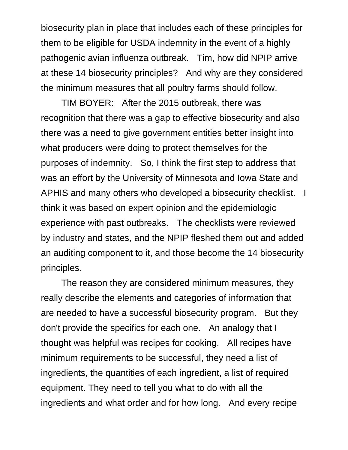biosecurity plan in place that includes each of these principles for them to be eligible for USDA indemnity in the event of a highly pathogenic avian influenza outbreak. Tim, how did NPIP arrive at these 14 biosecurity principles? And why are they considered the minimum measures that all poultry farms should follow.

TIM BOYER: After the 2015 outbreak, there was recognition that there was a gap to effective biosecurity and also there was a need to give government entities better insight into what producers were doing to protect themselves for the purposes of indemnity. So, I think the first step to address that was an effort by the University of Minnesota and Iowa State and APHIS and many others who developed a biosecurity checklist. I think it was based on expert opinion and the epidemiologic experience with past outbreaks. The checklists were reviewed by industry and states, and the NPIP fleshed them out and added an auditing component to it, and those become the 14 biosecurity principles.

The reason they are considered minimum measures, they really describe the elements and categories of information that are needed to have a successful biosecurity program. But they don't provide the specifics for each one. An analogy that I thought was helpful was recipes for cooking. All recipes have minimum requirements to be successful, they need a list of ingredients, the quantities of each ingredient, a list of required equipment. They need to tell you what to do with all the ingredients and what order and for how long. And every recipe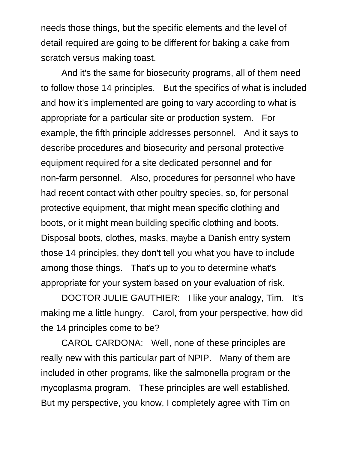needs those things, but the specific elements and the level of detail required are going to be different for baking a cake from scratch versus making toast.

And it's the same for biosecurity programs, all of them need to follow those 14 principles. But the specifics of what is included and how it's implemented are going to vary according to what is appropriate for a particular site or production system. For example, the fifth principle addresses personnel. And it says to describe procedures and biosecurity and personal protective equipment required for a site dedicated personnel and for non-farm personnel. Also, procedures for personnel who have had recent contact with other poultry species, so, for personal protective equipment, that might mean specific clothing and boots, or it might mean building specific clothing and boots. Disposal boots, clothes, masks, maybe a Danish entry system those 14 principles, they don't tell you what you have to include among those things. That's up to you to determine what's appropriate for your system based on your evaluation of risk.

DOCTOR JULIE GAUTHIER: I like your analogy, Tim. It's making me a little hungry. Carol, from your perspective, how did the 14 principles come to be?

CAROL CARDONA: Well, none of these principles are really new with this particular part of NPIP. Many of them are included in other programs, like the salmonella program or the mycoplasma program. These principles are well established. But my perspective, you know, I completely agree with Tim on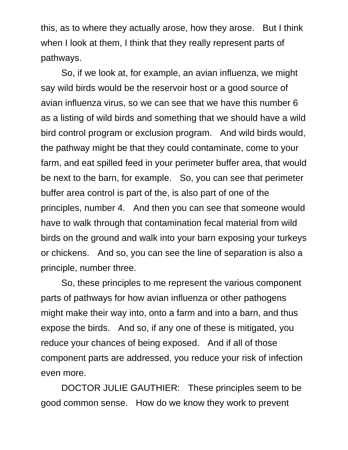this, as to where they actually arose, how they arose. But I think when I look at them, I think that they really represent parts of pathways.

So, if we look at, for example, an avian influenza, we might say wild birds would be the reservoir host or a good source of avian influenza virus, so we can see that we have this number 6 as a listing of wild birds and something that we should have a wild bird control program or exclusion program. And wild birds would, the pathway might be that they could contaminate, come to your farm, and eat spilled feed in your perimeter buffer area, that would be next to the barn, for example. So, you can see that perimeter buffer area control is part of the, is also part of one of the principles, number 4. And then you can see that someone would have to walk through that contamination fecal material from wild birds on the ground and walk into your barn exposing your turkeys or chickens. And so, you can see the line of separation is also a principle, number three.

So, these principles to me represent the various component parts of pathways for how avian influenza or other pathogens might make their way into, onto a farm and into a barn, and thus expose the birds. And so, if any one of these is mitigated, you reduce your chances of being exposed. And if all of those component parts are addressed, you reduce your risk of infection even more.

DOCTOR JULIE GAUTHIER: These principles seem to be good common sense. How do we know they work to prevent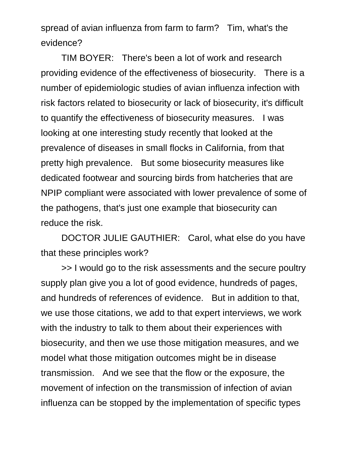spread of avian influenza from farm to farm? Tim, what's the evidence?

TIM BOYER: There's been a lot of work and research providing evidence of the effectiveness of biosecurity. There is a number of epidemiologic studies of avian influenza infection with risk factors related to biosecurity or lack of biosecurity, it's difficult to quantify the effectiveness of biosecurity measures. I was looking at one interesting study recently that looked at the prevalence of diseases in small flocks in California, from that pretty high prevalence. But some biosecurity measures like dedicated footwear and sourcing birds from hatcheries that are NPIP compliant were associated with lower prevalence of some of the pathogens, that's just one example that biosecurity can reduce the risk.

DOCTOR JULIE GAUTHIER: Carol, what else do you have that these principles work?

>> I would go to the risk assessments and the secure poultry supply plan give you a lot of good evidence, hundreds of pages, and hundreds of references of evidence. But in addition to that, we use those citations, we add to that expert interviews, we work with the industry to talk to them about their experiences with biosecurity, and then we use those mitigation measures, and we model what those mitigation outcomes might be in disease transmission. And we see that the flow or the exposure, the movement of infection on the transmission of infection of avian influenza can be stopped by the implementation of specific types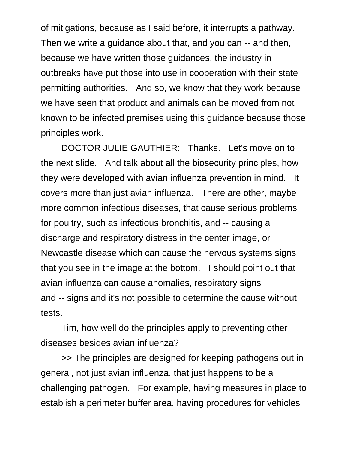of mitigations, because as I said before, it interrupts a pathway. Then we write a guidance about that, and you can -- and then, because we have written those guidances, the industry in outbreaks have put those into use in cooperation with their state permitting authorities. And so, we know that they work because we have seen that product and animals can be moved from not known to be infected premises using this guidance because those principles work.

DOCTOR JULIE GAUTHIER: Thanks. Let's move on to the next slide. And talk about all the biosecurity principles, how they were developed with avian influenza prevention in mind. It covers more than just avian influenza. There are other, maybe more common infectious diseases, that cause serious problems for poultry, such as infectious bronchitis, and -- causing a discharge and respiratory distress in the center image, or Newcastle disease which can cause the nervous systems signs that you see in the image at the bottom. I should point out that avian influenza can cause anomalies, respiratory signs and -- signs and it's not possible to determine the cause without tests.

Tim, how well do the principles apply to preventing other diseases besides avian influenza?

>> The principles are designed for keeping pathogens out in general, not just avian influenza, that just happens to be a challenging pathogen. For example, having measures in place to establish a perimeter buffer area, having procedures for vehicles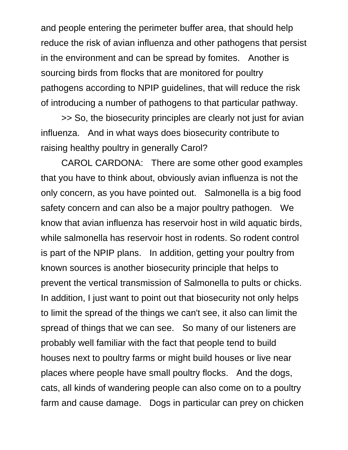and people entering the perimeter buffer area, that should help reduce the risk of avian influenza and other pathogens that persist in the environment and can be spread by fomites. Another is sourcing birds from flocks that are monitored for poultry pathogens according to NPIP guidelines, that will reduce the risk of introducing a number of pathogens to that particular pathway.

>> So, the biosecurity principles are clearly not just for avian influenza. And in what ways does biosecurity contribute to raising healthy poultry in generally Carol?

CAROL CARDONA: There are some other good examples that you have to think about, obviously avian influenza is not the only concern, as you have pointed out. Salmonella is a big food safety concern and can also be a major poultry pathogen. We know that avian influenza has reservoir host in wild aquatic birds, while salmonella has reservoir host in rodents. So rodent control is part of the NPIP plans. In addition, getting your poultry from known sources is another biosecurity principle that helps to prevent the vertical transmission of Salmonella to pults or chicks. In addition, I just want to point out that biosecurity not only helps to limit the spread of the things we can't see, it also can limit the spread of things that we can see. So many of our listeners are probably well familiar with the fact that people tend to build houses next to poultry farms or might build houses or live near places where people have small poultry flocks. And the dogs, cats, all kinds of wandering people can also come on to a poultry farm and cause damage. Dogs in particular can prey on chicken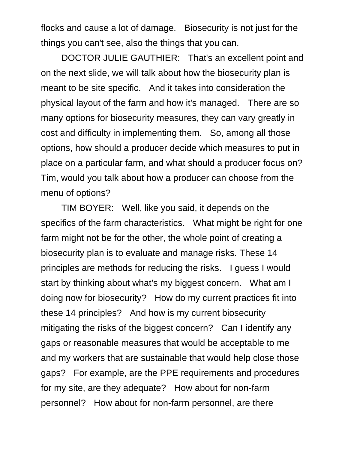flocks and cause a lot of damage. Biosecurity is not just for the things you can't see, also the things that you can.

DOCTOR JULIE GAUTHIER: That's an excellent point and on the next slide, we will talk about how the biosecurity plan is meant to be site specific. And it takes into consideration the physical layout of the farm and how it's managed. There are so many options for biosecurity measures, they can vary greatly in cost and difficulty in implementing them. So, among all those options, how should a producer decide which measures to put in place on a particular farm, and what should a producer focus on? Tim, would you talk about how a producer can choose from the menu of options?

TIM BOYER: Well, like you said, it depends on the specifics of the farm characteristics. What might be right for one farm might not be for the other, the whole point of creating a biosecurity plan is to evaluate and manage risks. These 14 principles are methods for reducing the risks. I guess I would start by thinking about what's my biggest concern. What am I doing now for biosecurity? How do my current practices fit into these 14 principles? And how is my current biosecurity mitigating the risks of the biggest concern? Can I identify any gaps or reasonable measures that would be acceptable to me and my workers that are sustainable that would help close those gaps? For example, are the PPE requirements and procedures for my site, are they adequate? How about for non-farm personnel? How about for non-farm personnel, are there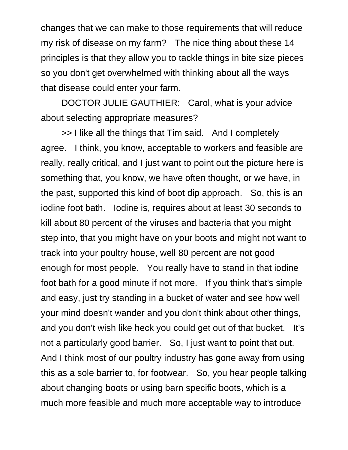changes that we can make to those requirements that will reduce my risk of disease on my farm? The nice thing about these 14 principles is that they allow you to tackle things in bite size pieces so you don't get overwhelmed with thinking about all the ways that disease could enter your farm.

DOCTOR JULIE GAUTHIER: Carol, what is your advice about selecting appropriate measures?

>> I like all the things that Tim said. And I completely agree. I think, you know, acceptable to workers and feasible are really, really critical, and I just want to point out the picture here is something that, you know, we have often thought, or we have, in the past, supported this kind of boot dip approach. So, this is an iodine foot bath. Iodine is, requires about at least 30 seconds to kill about 80 percent of the viruses and bacteria that you might step into, that you might have on your boots and might not want to track into your poultry house, well 80 percent are not good enough for most people. You really have to stand in that iodine foot bath for a good minute if not more. If you think that's simple and easy, just try standing in a bucket of water and see how well your mind doesn't wander and you don't think about other things, and you don't wish like heck you could get out of that bucket. It's not a particularly good barrier. So, I just want to point that out. And I think most of our poultry industry has gone away from using this as a sole barrier to, for footwear. So, you hear people talking about changing boots or using barn specific boots, which is a much more feasible and much more acceptable way to introduce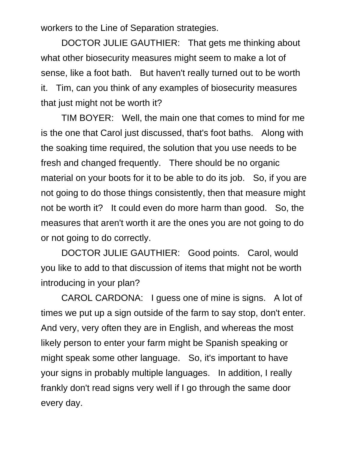workers to the Line of Separation strategies.

DOCTOR JULIE GAUTHIER: That gets me thinking about what other biosecurity measures might seem to make a lot of sense, like a foot bath. But haven't really turned out to be worth it. Tim, can you think of any examples of biosecurity measures that just might not be worth it?

TIM BOYER: Well, the main one that comes to mind for me is the one that Carol just discussed, that's foot baths. Along with the soaking time required, the solution that you use needs to be fresh and changed frequently. There should be no organic material on your boots for it to be able to do its job. So, if you are not going to do those things consistently, then that measure might not be worth it? It could even do more harm than good. So, the measures that aren't worth it are the ones you are not going to do or not going to do correctly.

DOCTOR JULIE GAUTHIER: Good points. Carol, would you like to add to that discussion of items that might not be worth introducing in your plan?

CAROL CARDONA: I guess one of mine is signs. A lot of times we put up a sign outside of the farm to say stop, don't enter. And very, very often they are in English, and whereas the most likely person to enter your farm might be Spanish speaking or might speak some other language. So, it's important to have your signs in probably multiple languages. In addition, I really frankly don't read signs very well if I go through the same door every day.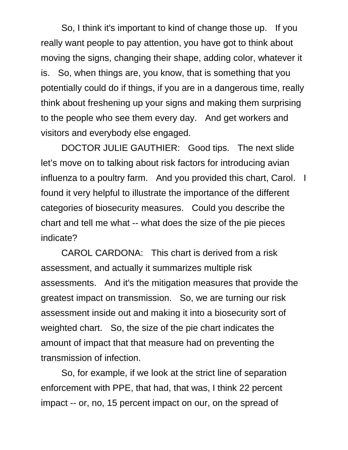So, I think it's important to kind of change those up. If you really want people to pay attention, you have got to think about moving the signs, changing their shape, adding color, whatever it is. So, when things are, you know, that is something that you potentially could do if things, if you are in a dangerous time, really think about freshening up your signs and making them surprising to the people who see them every day. And get workers and visitors and everybody else engaged.

DOCTOR JULIE GAUTHIER: Good tips. The next slide let's move on to talking about risk factors for introducing avian influenza to a poultry farm. And you provided this chart, Carol. I found it very helpful to illustrate the importance of the different categories of biosecurity measures. Could you describe the chart and tell me what -- what does the size of the pie pieces indicate?

CAROL CARDONA: This chart is derived from a risk assessment, and actually it summarizes multiple risk assessments. And it's the mitigation measures that provide the greatest impact on transmission. So, we are turning our risk assessment inside out and making it into a biosecurity sort of weighted chart. So, the size of the pie chart indicates the amount of impact that that measure had on preventing the transmission of infection.

So, for example, if we look at the strict line of separation enforcement with PPE, that had, that was, I think 22 percent impact -- or, no, 15 percent impact on our, on the spread of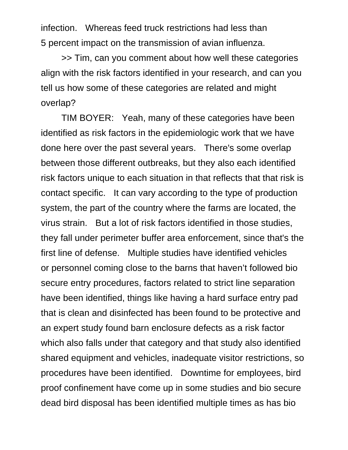infection. Whereas feed truck restrictions had less than 5 percent impact on the transmission of avian influenza.

>> Tim, can you comment about how well these categories align with the risk factors identified in your research, and can you tell us how some of these categories are related and might overlap?

TIM BOYER: Yeah, many of these categories have been identified as risk factors in the epidemiologic work that we have done here over the past several years. There's some overlap between those different outbreaks, but they also each identified risk factors unique to each situation in that reflects that that risk is contact specific. It can vary according to the type of production system, the part of the country where the farms are located, the virus strain. But a lot of risk factors identified in those studies, they fall under perimeter buffer area enforcement, since that's the first line of defense. Multiple studies have identified vehicles or personnel coming close to the barns that haven't followed bio secure entry procedures, factors related to strict line separation have been identified, things like having a hard surface entry pad that is clean and disinfected has been found to be protective and an expert study found barn enclosure defects as a risk factor which also falls under that category and that study also identified shared equipment and vehicles, inadequate visitor restrictions, so procedures have been identified. Downtime for employees, bird proof confinement have come up in some studies and bio secure dead bird disposal has been identified multiple times as has bio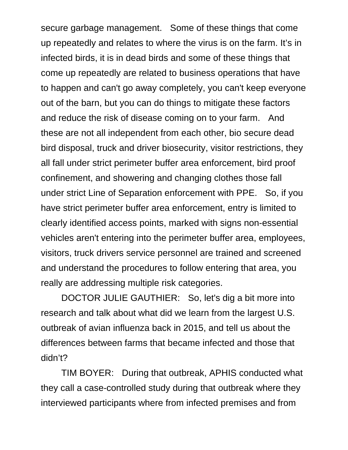secure garbage management. Some of these things that come up repeatedly and relates to where the virus is on the farm. It's in infected birds, it is in dead birds and some of these things that come up repeatedly are related to business operations that have to happen and can't go away completely, you can't keep everyone out of the barn, but you can do things to mitigate these factors and reduce the risk of disease coming on to your farm. And these are not all independent from each other, bio secure dead bird disposal, truck and driver biosecurity, visitor restrictions, they all fall under strict perimeter buffer area enforcement, bird proof confinement, and showering and changing clothes those fall under strict Line of Separation enforcement with PPE. So, if you have strict perimeter buffer area enforcement, entry is limited to clearly identified access points, marked with signs non-essential vehicles aren't entering into the perimeter buffer area, employees, visitors, truck drivers service personnel are trained and screened and understand the procedures to follow entering that area, you really are addressing multiple risk categories.

DOCTOR JULIE GAUTHIER: So, let's dig a bit more into research and talk about what did we learn from the largest U.S. outbreak of avian influenza back in 2015, and tell us about the differences between farms that became infected and those that didn't?

TIM BOYER: During that outbreak, APHIS conducted what they call a case-controlled study during that outbreak where they interviewed participants where from infected premises and from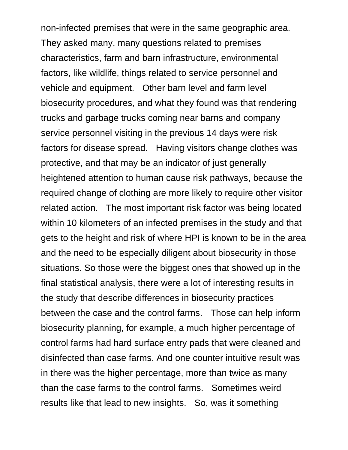non-infected premises that were in the same geographic area. They asked many, many questions related to premises characteristics, farm and barn infrastructure, environmental factors, like wildlife, things related to service personnel and vehicle and equipment. Other barn level and farm level biosecurity procedures, and what they found was that rendering trucks and garbage trucks coming near barns and company service personnel visiting in the previous 14 days were risk factors for disease spread. Having visitors change clothes was protective, and that may be an indicator of just generally heightened attention to human cause risk pathways, because the required change of clothing are more likely to require other visitor related action. The most important risk factor was being located within 10 kilometers of an infected premises in the study and that gets to the height and risk of where HPI is known to be in the area and the need to be especially diligent about biosecurity in those situations. So those were the biggest ones that showed up in the final statistical analysis, there were a lot of interesting results in the study that describe differences in biosecurity practices between the case and the control farms. Those can help inform biosecurity planning, for example, a much higher percentage of control farms had hard surface entry pads that were cleaned and disinfected than case farms. And one counter intuitive result was in there was the higher percentage, more than twice as many than the case farms to the control farms. Sometimes weird results like that lead to new insights. So, was it something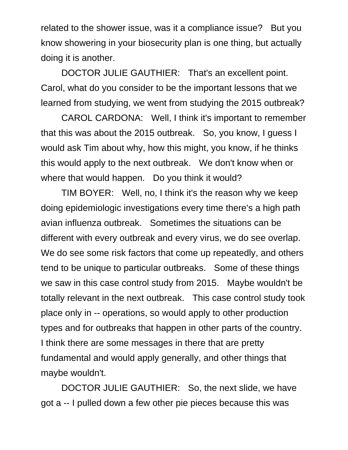related to the shower issue, was it a compliance issue? But you know showering in your biosecurity plan is one thing, but actually doing it is another.

DOCTOR JULIE GAUTHIER: That's an excellent point. Carol, what do you consider to be the important lessons that we learned from studying, we went from studying the 2015 outbreak?

CAROL CARDONA: Well, I think it's important to remember that this was about the 2015 outbreak. So, you know, I guess I would ask Tim about why, how this might, you know, if he thinks this would apply to the next outbreak. We don't know when or where that would happen. Do you think it would?

TIM BOYER: Well, no, I think it's the reason why we keep doing epidemiologic investigations every time there's a high path avian influenza outbreak. Sometimes the situations can be different with every outbreak and every virus, we do see overlap. We do see some risk factors that come up repeatedly, and others tend to be unique to particular outbreaks. Some of these things we saw in this case control study from 2015. Maybe wouldn't be totally relevant in the next outbreak. This case control study took place only in -- operations, so would apply to other production types and for outbreaks that happen in other parts of the country. I think there are some messages in there that are pretty fundamental and would apply generally, and other things that maybe wouldn't.

DOCTOR JULIE GAUTHIER: So, the next slide, we have got a -- I pulled down a few other pie pieces because this was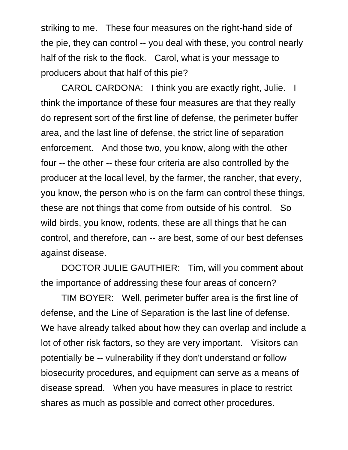striking to me. These four measures on the right-hand side of the pie, they can control -- you deal with these, you control nearly half of the risk to the flock. Carol, what is your message to producers about that half of this pie?

CAROL CARDONA: I think you are exactly right, Julie. I think the importance of these four measures are that they really do represent sort of the first line of defense, the perimeter buffer area, and the last line of defense, the strict line of separation enforcement. And those two, you know, along with the other four -- the other -- these four criteria are also controlled by the producer at the local level, by the farmer, the rancher, that every, you know, the person who is on the farm can control these things, these are not things that come from outside of his control. So wild birds, you know, rodents, these are all things that he can control, and therefore, can -- are best, some of our best defenses against disease.

DOCTOR JULIE GAUTHIER: Tim, will you comment about the importance of addressing these four areas of concern?

TIM BOYER: Well, perimeter buffer area is the first line of defense, and the Line of Separation is the last line of defense. We have already talked about how they can overlap and include a lot of other risk factors, so they are very important. Visitors can potentially be -- vulnerability if they don't understand or follow biosecurity procedures, and equipment can serve as a means of disease spread. When you have measures in place to restrict shares as much as possible and correct other procedures.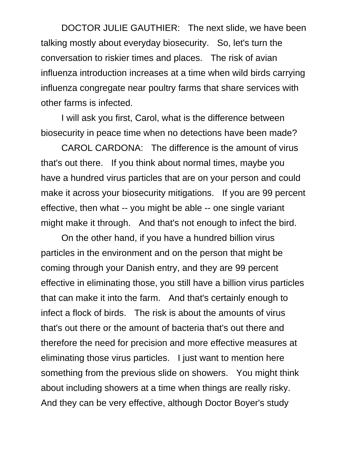DOCTOR JULIE GAUTHIER: The next slide, we have been talking mostly about everyday biosecurity. So, let's turn the conversation to riskier times and places. The risk of avian influenza introduction increases at a time when wild birds carrying influenza congregate near poultry farms that share services with other farms is infected.

I will ask you first, Carol, what is the difference between biosecurity in peace time when no detections have been made?

CAROL CARDONA: The difference is the amount of virus that's out there. If you think about normal times, maybe you have a hundred virus particles that are on your person and could make it across your biosecurity mitigations. If you are 99 percent effective, then what -- you might be able -- one single variant might make it through. And that's not enough to infect the bird.

On the other hand, if you have a hundred billion virus particles in the environment and on the person that might be coming through your Danish entry, and they are 99 percent effective in eliminating those, you still have a billion virus particles that can make it into the farm. And that's certainly enough to infect a flock of birds. The risk is about the amounts of virus that's out there or the amount of bacteria that's out there and therefore the need for precision and more effective measures at eliminating those virus particles. I just want to mention here something from the previous slide on showers. You might think about including showers at a time when things are really risky. And they can be very effective, although Doctor Boyer's study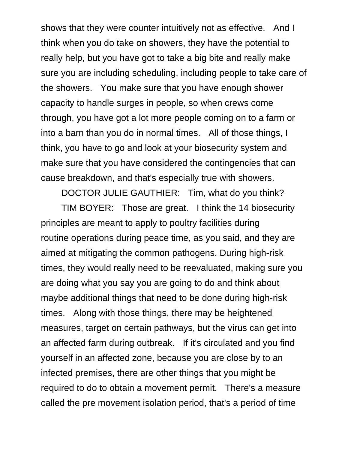shows that they were counter intuitively not as effective. And I think when you do take on showers, they have the potential to really help, but you have got to take a big bite and really make sure you are including scheduling, including people to take care of the showers. You make sure that you have enough shower capacity to handle surges in people, so when crews come through, you have got a lot more people coming on to a farm or into a barn than you do in normal times. All of those things, I think, you have to go and look at your biosecurity system and make sure that you have considered the contingencies that can cause breakdown, and that's especially true with showers.

DOCTOR JULIE GAUTHIER: Tim, what do you think?

TIM BOYER: Those are great. I think the 14 biosecurity principles are meant to apply to poultry facilities during routine operations during peace time, as you said, and they are aimed at mitigating the common pathogens. During high-risk times, they would really need to be reevaluated, making sure you are doing what you say you are going to do and think about maybe additional things that need to be done during high-risk times. Along with those things, there may be heightened measures, target on certain pathways, but the virus can get into an affected farm during outbreak. If it's circulated and you find yourself in an affected zone, because you are close by to an infected premises, there are other things that you might be required to do to obtain a movement permit. There's a measure called the pre movement isolation period, that's a period of time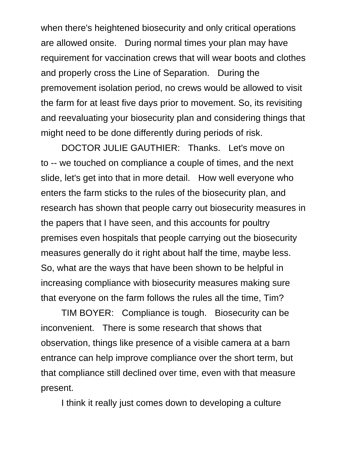when there's heightened biosecurity and only critical operations are allowed onsite. During normal times your plan may have requirement for vaccination crews that will wear boots and clothes and properly cross the Line of Separation. During the premovement isolation period, no crews would be allowed to visit the farm for at least five days prior to movement. So, its revisiting and reevaluating your biosecurity plan and considering things that might need to be done differently during periods of risk.

DOCTOR JULIE GAUTHIER: Thanks. Let's move on to -- we touched on compliance a couple of times, and the next slide, let's get into that in more detail. How well everyone who enters the farm sticks to the rules of the biosecurity plan, and research has shown that people carry out biosecurity measures in the papers that I have seen, and this accounts for poultry premises even hospitals that people carrying out the biosecurity measures generally do it right about half the time, maybe less. So, what are the ways that have been shown to be helpful in increasing compliance with biosecurity measures making sure that everyone on the farm follows the rules all the time, Tim?

TIM BOYER: Compliance is tough. Biosecurity can be inconvenient. There is some research that shows that observation, things like presence of a visible camera at a barn entrance can help improve compliance over the short term, but that compliance still declined over time, even with that measure present.

I think it really just comes down to developing a culture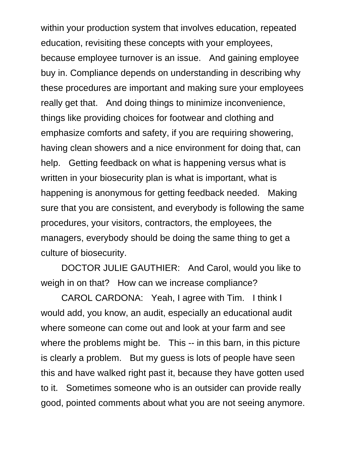within your production system that involves education, repeated education, revisiting these concepts with your employees, because employee turnover is an issue. And gaining employee buy in. Compliance depends on understanding in describing why these procedures are important and making sure your employees really get that. And doing things to minimize inconvenience, things like providing choices for footwear and clothing and emphasize comforts and safety, if you are requiring showering, having clean showers and a nice environment for doing that, can help. Getting feedback on what is happening versus what is written in your biosecurity plan is what is important, what is happening is anonymous for getting feedback needed. Making sure that you are consistent, and everybody is following the same procedures, your visitors, contractors, the employees, the managers, everybody should be doing the same thing to get a culture of biosecurity.

DOCTOR JULIE GAUTHIER: And Carol, would you like to weigh in on that? How can we increase compliance?

CAROL CARDONA: Yeah, I agree with Tim. I think I would add, you know, an audit, especially an educational audit where someone can come out and look at your farm and see where the problems might be. This -- in this barn, in this picture is clearly a problem. But my guess is lots of people have seen this and have walked right past it, because they have gotten used to it. Sometimes someone who is an outsider can provide really good, pointed comments about what you are not seeing anymore.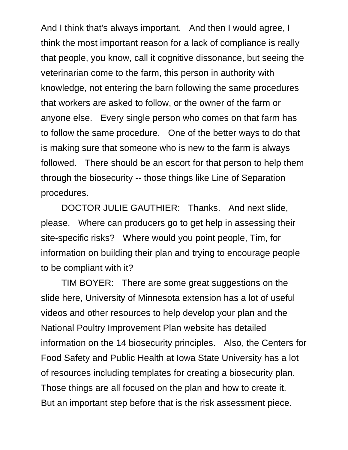And I think that's always important. And then I would agree, I think the most important reason for a lack of compliance is really that people, you know, call it cognitive dissonance, but seeing the veterinarian come to the farm, this person in authority with knowledge, not entering the barn following the same procedures that workers are asked to follow, or the owner of the farm or anyone else. Every single person who comes on that farm has to follow the same procedure. One of the better ways to do that is making sure that someone who is new to the farm is always followed. There should be an escort for that person to help them through the biosecurity -- those things like Line of Separation procedures.

DOCTOR JULIE GAUTHIER: Thanks. And next slide, please. Where can producers go to get help in assessing their site-specific risks? Where would you point people, Tim, for information on building their plan and trying to encourage people to be compliant with it?

TIM BOYER: There are some great suggestions on the slide here, University of Minnesota extension has a lot of useful videos and other resources to help develop your plan and the National Poultry Improvement Plan website has detailed information on the 14 biosecurity principles. Also, the Centers for Food Safety and Public Health at Iowa State University has a lot of resources including templates for creating a biosecurity plan. Those things are all focused on the plan and how to create it. But an important step before that is the risk assessment piece.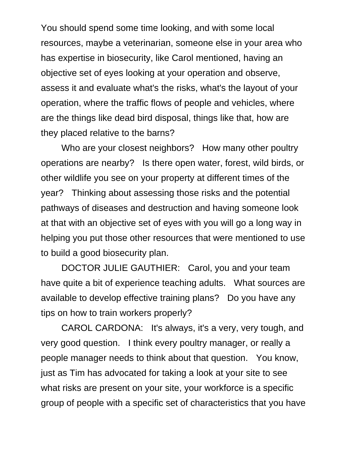You should spend some time looking, and with some local resources, maybe a veterinarian, someone else in your area who has expertise in biosecurity, like Carol mentioned, having an objective set of eyes looking at your operation and observe, assess it and evaluate what's the risks, what's the layout of your operation, where the traffic flows of people and vehicles, where are the things like dead bird disposal, things like that, how are they placed relative to the barns?

Who are your closest neighbors? How many other poultry operations are nearby? Is there open water, forest, wild birds, or other wildlife you see on your property at different times of the year? Thinking about assessing those risks and the potential pathways of diseases and destruction and having someone look at that with an objective set of eyes with you will go a long way in helping you put those other resources that were mentioned to use to build a good biosecurity plan.

DOCTOR JULIE GAUTHIER: Carol, you and your team have quite a bit of experience teaching adults. What sources are available to develop effective training plans? Do you have any tips on how to train workers properly?

CAROL CARDONA: It's always, it's a very, very tough, and very good question. I think every poultry manager, or really a people manager needs to think about that question. You know, just as Tim has advocated for taking a look at your site to see what risks are present on your site, your workforce is a specific group of people with a specific set of characteristics that you have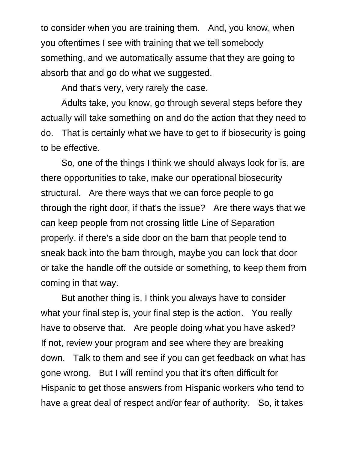to consider when you are training them. And, you know, when you oftentimes I see with training that we tell somebody something, and we automatically assume that they are going to absorb that and go do what we suggested.

And that's very, very rarely the case.

Adults take, you know, go through several steps before they actually will take something on and do the action that they need to do. That is certainly what we have to get to if biosecurity is going to be effective.

So, one of the things I think we should always look for is, are there opportunities to take, make our operational biosecurity structural. Are there ways that we can force people to go through the right door, if that's the issue? Are there ways that we can keep people from not crossing little Line of Separation properly, if there's a side door on the barn that people tend to sneak back into the barn through, maybe you can lock that door or take the handle off the outside or something, to keep them from coming in that way.

But another thing is, I think you always have to consider what your final step is, your final step is the action. You really have to observe that. Are people doing what you have asked? If not, review your program and see where they are breaking down. Talk to them and see if you can get feedback on what has gone wrong. But I will remind you that it's often difficult for Hispanic to get those answers from Hispanic workers who tend to have a great deal of respect and/or fear of authority. So, it takes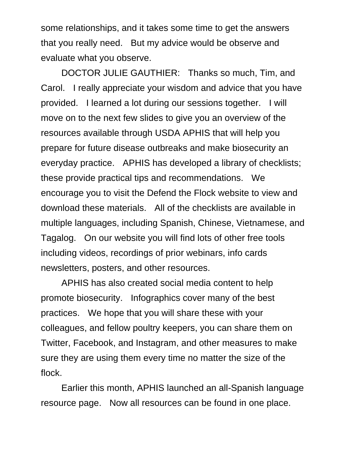some relationships, and it takes some time to get the answers that you really need. But my advice would be observe and evaluate what you observe.

DOCTOR JULIE GAUTHIER: Thanks so much, Tim, and Carol. I really appreciate your wisdom and advice that you have provided. I learned a lot during our sessions together. I will move on to the next few slides to give you an overview of the resources available through USDA APHIS that will help you prepare for future disease outbreaks and make biosecurity an everyday practice. APHIS has developed a library of checklists; these provide practical tips and recommendations. We encourage you to visit the Defend the Flock website to view and download these materials. All of the checklists are available in multiple languages, including Spanish, Chinese, Vietnamese, and Tagalog. On our website you will find lots of other free tools including videos, recordings of prior webinars, info cards newsletters, posters, and other resources.

APHIS has also created social media content to help promote biosecurity. Infographics cover many of the best practices. We hope that you will share these with your colleagues, and fellow poultry keepers, you can share them on Twitter, Facebook, and Instagram, and other measures to make sure they are using them every time no matter the size of the flock.

Earlier this month, APHIS launched an all-Spanish language resource page. Now all resources can be found in one place.